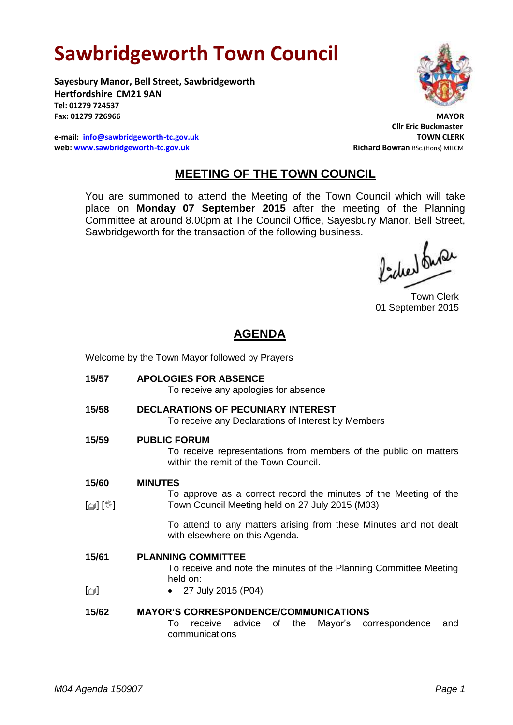# **Sawbridgeworth Town Council**

**Sayesbury Manor, Bell Street, Sawbridgeworth Hertfordshire CM21 9AN Tel: 01279 724537 Fax: 01279 726966 MAYOR**

**e-mail: [info@sawbridgeworth-tc.gov.uk](mailto:info@sawbridgeworth-tc.gov.uk) TOWN CLERK web: www.sawbridgeworth-tc.gov.uk Richard Bowran BSc.(Hons) MILCM Richard Bowran BSc.(Hons) MILCM** 



**Cllr Eric Buckmaster**

# **MEETING OF THE TOWN COUNCIL**

You are summoned to attend the Meeting of the Town Council which will take place on **Monday 07 September 2015** after the meeting of the Planning Committee at around 8.00pm at The Council Office, Sayesbury Manor, Bell Street, Sawbridgeworth for the transaction of the following business.

fided fune

Town Clerk 01 September 2015

# **AGENDA**

Welcome by the Town Mayor followed by Prayers

| 15/57                      | <b>APOLOGIES FOR ABSENCE</b><br>To receive any apologies for absence                                                               |
|----------------------------|------------------------------------------------------------------------------------------------------------------------------------|
| 15/58                      | <b>DECLARATIONS OF PECUNIARY INTEREST</b><br>To receive any Declarations of Interest by Members                                    |
| 15/59                      | <b>PUBLIC FORUM</b><br>To receive representations from members of the public on matters<br>within the remit of the Town Council.   |
| 15/60                      | <b>MINUTES</b>                                                                                                                     |
| $\mathbb{D}[\mathbb{D}^1]$ | To approve as a correct record the minutes of the Meeting of the<br>Town Council Meeting held on 27 July 2015 (M03)                |
|                            | To attend to any matters arising from these Minutes and not dealt<br>with elsewhere on this Agenda.                                |
| 15/61<br>$[\blacksquare]$  | <b>PLANNING COMMITTEE</b><br>To receive and note the minutes of the Planning Committee Meeting<br>held on:<br>• 27 July 2015 (P04) |
| 15/62                      | <b>MAYOR'S CORRESPONDENCE/COMMUNICATIONS</b><br>Mayor's correspondence<br>receive advice of the<br>To<br>and<br>communications     |